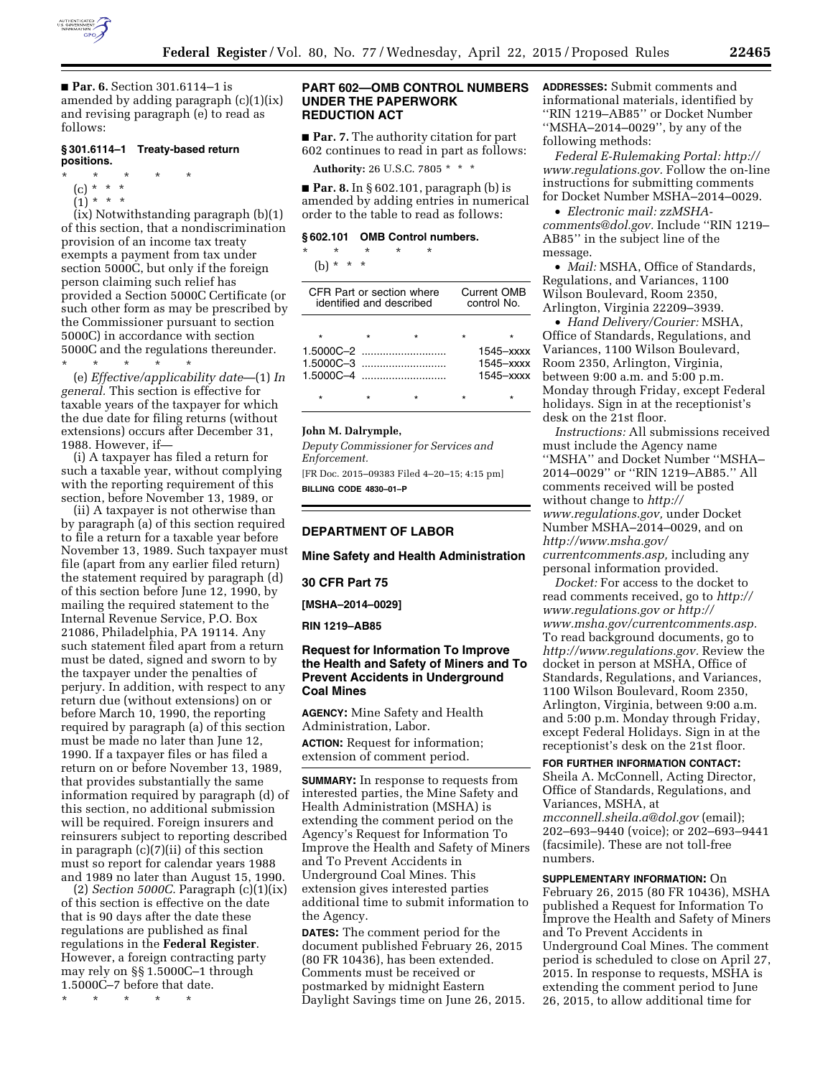

■ **Par. 6.** Section 301.6114–1 is amended by adding paragraph (c)(1)(ix) and revising paragraph (e) to read as follows:

# **§ 301.6114–1 Treaty-based return positions.**

#### \* \* \* \* \*

- (c) \* \* \*
- $(1) * * * *$

(ix) Notwithstanding paragraph (b)(1) of this section, that a nondiscrimination provision of an income tax treaty exempts a payment from tax under section 5000C, but only if the foreign person claiming such relief has provided a Section 5000C Certificate (or such other form as may be prescribed by the Commissioner pursuant to section 5000C) in accordance with section 5000C and the regulations thereunder. \* \* \* \* \*

(e) *Effective/applicability date*—(1) *In general.* This section is effective for taxable years of the taxpayer for which the due date for filing returns (without extensions) occurs after December 31, 1988. However, if—

(i) A taxpayer has filed a return for such a taxable year, without complying with the reporting requirement of this section, before November 13, 1989, or

(ii) A taxpayer is not otherwise than by paragraph (a) of this section required to file a return for a taxable year before November 13, 1989. Such taxpayer must file (apart from any earlier filed return) the statement required by paragraph (d) of this section before June 12, 1990, by mailing the required statement to the Internal Revenue Service, P.O. Box 21086, Philadelphia, PA 19114. Any such statement filed apart from a return must be dated, signed and sworn to by the taxpayer under the penalties of perjury. In addition, with respect to any return due (without extensions) on or before March 10, 1990, the reporting required by paragraph (a) of this section must be made no later than June 12, 1990. If a taxpayer files or has filed a return on or before November 13, 1989, that provides substantially the same information required by paragraph (d) of this section, no additional submission will be required. Foreign insurers and reinsurers subject to reporting described in paragraph (c)(7)(ii) of this section must so report for calendar years 1988 and 1989 no later than August 15, 1990.

(2) *Section 5000C.* Paragraph (c)(1)(ix) of this section is effective on the date that is 90 days after the date these regulations are published as final regulations in the **Federal Register**. However, a foreign contracting party may rely on §§ 1.5000C–1 through 1.5000C–7 before that date.

\* \* \* \* \*

### **PART 602—OMB CONTROL NUMBERS UNDER THE PAPERWORK REDUCTION ACT**

■ **Par. 7.** The authority citation for part 602 continues to read in part as follows:

**Authority:** 26 U.S.C. 7805 \* \* \*

■ **Par. 8.** In § 602.101, paragraph (b) is amended by adding entries in numerical order to the table to read as follows:

#### **§ 602.101 OMB Control numbers.**

\* \* \* \* \* (b)  $* * * *$ 

| CFR Part or section where<br>identified and described |  |               | Current OMB<br>control No. |                                           |
|-------------------------------------------------------|--|---------------|----------------------------|-------------------------------------------|
|                                                       |  |               | $\star$                    |                                           |
|                                                       |  | $1.5000C - 4$ |                            | $1545  xxx$<br>$1545  xxx$<br>$1545  xxx$ |
|                                                       |  |               |                            |                                           |

### **John M. Dalrymple,**

*Deputy Commissioner for Services and Enforcement.* 

[FR Doc. 2015–09383 Filed 4–20–15; 4:15 pm] **BILLING CODE 4830–01–P** 

# **DEPARTMENT OF LABOR**

**Mine Safety and Health Administration** 

### **30 CFR Part 75**

**[MSHA–2014–0029]** 

#### **RIN 1219–AB85**

# **Request for Information To Improve the Health and Safety of Miners and To Prevent Accidents in Underground Coal Mines**

**AGENCY:** Mine Safety and Health Administration, Labor. **ACTION:** Request for information; extension of comment period.

**SUMMARY:** In response to requests from interested parties, the Mine Safety and Health Administration (MSHA) is extending the comment period on the Agency's Request for Information To Improve the Health and Safety of Miners and To Prevent Accidents in Underground Coal Mines. This extension gives interested parties additional time to submit information to the Agency.

**DATES:** The comment period for the document published February 26, 2015 (80 FR 10436), has been extended. Comments must be received or postmarked by midnight Eastern Daylight Savings time on June 26, 2015. **ADDRESSES:** Submit comments and informational materials, identified by ''RIN 1219–AB85'' or Docket Number ''MSHA–2014–0029'', by any of the following methods:

*Federal E-Rulemaking Portal: [http://](http://www.regulations.gov) [www.regulations.gov.](http://www.regulations.gov)* Follow the on-line instructions for submitting comments for Docket Number MSHA–2014–0029.

• *Electronic mail: [zzMSHA](mailto:zzMSHA-comments@dol.gov)[comments@dol.gov.](mailto:zzMSHA-comments@dol.gov)* Include ''RIN 1219– AB85'' in the subject line of the message.

• *Mail:* MSHA, Office of Standards, Regulations, and Variances, 1100 Wilson Boulevard, Room 2350, Arlington, Virginia 22209–3939.

• *Hand Delivery/Courier:* MSHA, Office of Standards, Regulations, and Variances, 1100 Wilson Boulevard, Room 2350, Arlington, Virginia, between 9:00 a.m. and 5:00 p.m. Monday through Friday, except Federal holidays. Sign in at the receptionist's desk on the 21st floor.

*Instructions:* All submissions received must include the Agency name ''MSHA'' and Docket Number ''MSHA– 2014–0029'' or ''RIN 1219–AB85.'' All comments received will be posted without change to *[http://](http://www.regulations.gov) [www.regulations.gov,](http://www.regulations.gov)* under Docket Number MSHA–2014–0029, and on *[http://www.msha.gov/](http://www.msha.gov/currentcomments.asp) [currentcomments.asp,](http://www.msha.gov/currentcomments.asp)* including any

personal information provided.

*Docket:* For access to the docket to read comments received, go to *[http://](http://www.regulations.gov) [www.regulations.gov](http://www.regulations.gov) or [http://](http://www.msha.gov/currentcomments.asp) [www.msha.gov/currentcomments.asp.](http://www.msha.gov/currentcomments.asp)*  To read background documents, go to *[http://www.regulations.gov.](http://www.regulations.gov)* Review the docket in person at MSHA, Office of Standards, Regulations, and Variances, 1100 Wilson Boulevard, Room 2350, Arlington, Virginia, between 9:00 a.m. and 5:00 p.m. Monday through Friday, except Federal Holidays. Sign in at the receptionist's desk on the 21st floor.

#### **FOR FURTHER INFORMATION CONTACT:**

Sheila A. McConnell, Acting Director, Office of Standards, Regulations, and Variances, MSHA, at *[mcconnell.sheila.a@dol.gov](mailto:mcconnell.sheila.a@dol.gov)* (email); 202–693–9440 (voice); or 202–693–9441 (facsimile). These are not toll-free numbers.

### **SUPPLEMENTARY INFORMATION:** On

February 26, 2015 (80 FR 10436), MSHA published a Request for Information To Improve the Health and Safety of Miners and To Prevent Accidents in Underground Coal Mines. The comment period is scheduled to close on April 27, 2015. In response to requests, MSHA is extending the comment period to June 26, 2015, to allow additional time for